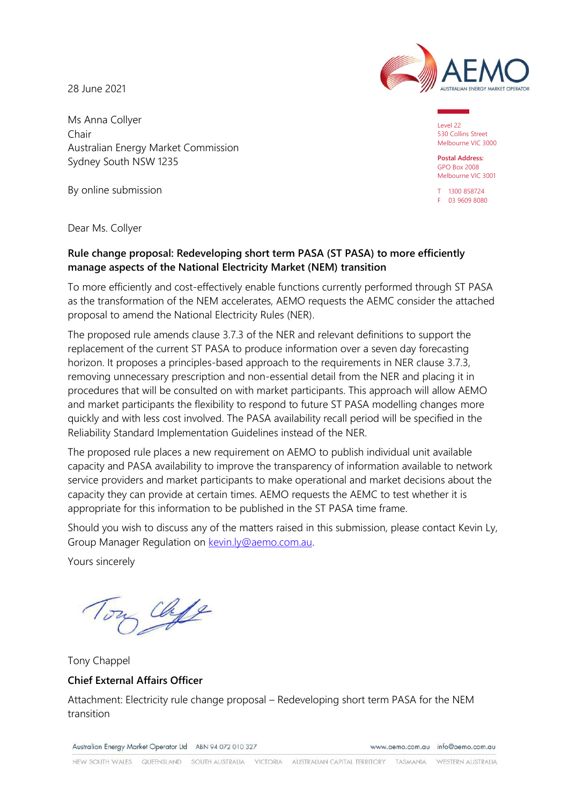28 June 2021

Ms Anna Collyer Chair Australian Energy Market Commission Sydney South NSW 1235

By online submission



Level 22 530 Collins Street Melbourne VIC 3000

**Postal Address:** GPO Box 2008 Melbourne VIC 3001

T 1300 858724 F 03 9609 8080

Dear Ms. Collyer

### **Rule change proposal: Redeveloping short term PASA (ST PASA) to more efficiently manage aspects of the National Electricity Market (NEM) transition**

To more efficiently and cost-effectively enable functions currently performed through ST PASA as the transformation of the NEM accelerates, AEMO requests the AEMC consider the attached proposal to amend the National Electricity Rules (NER).

The proposed rule amends clause 3.7.3 of the NER and relevant definitions to support the replacement of the current ST PASA to produce information over a seven day forecasting horizon. It proposes a principles-based approach to the requirements in NER clause 3.7.3, removing unnecessary prescription and non-essential detail from the NER and placing it in procedures that will be consulted on with market participants. This approach will allow AEMO and market participants the flexibility to respond to future ST PASA modelling changes more quickly and with less cost involved. The PASA availability recall period will be specified in the Reliability Standard Implementation Guidelines instead of the NER.

The proposed rule places a new requirement on AEMO to publish individual unit available capacity and PASA availability to improve the transparency of information available to network service providers and market participants to make operational and market decisions about the capacity they can provide at certain times. AEMO requests the AEMC to test whether it is appropriate for this information to be published in the ST PASA time frame.

Should you wish to discuss any of the matters raised in this submission, please contact Kevin Ly, Group Manager Regulation on [kevin.ly@aemo.com.au.](mailto:kevin.ly@aemo.com.au)

Yours sincerely

Chife

Tony Chappel **Chief External Affairs Officer**

Attachment: Electricity rule change proposal – Redeveloping short term PASA for the NEM transition

Australian Energy Market Operator Ltd ABN 94 072 010 327

www.gemo.com.gu info@gemo.com.gu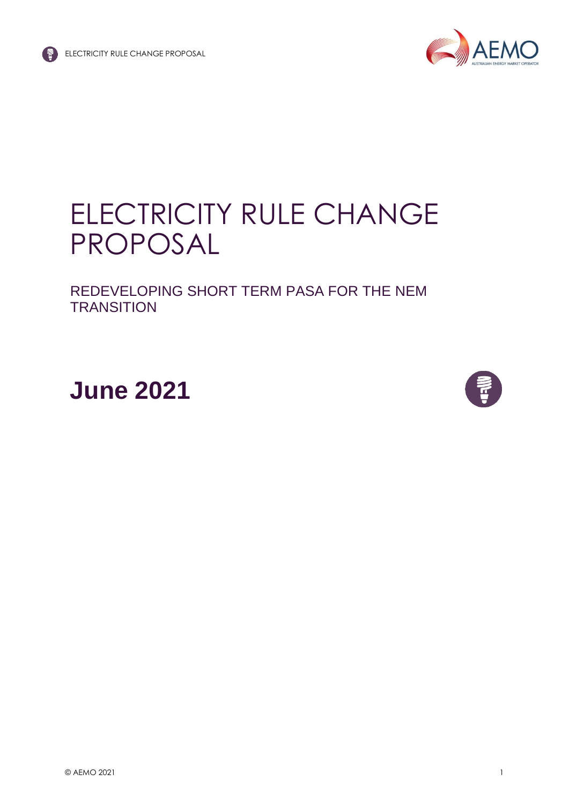

# ELECTRICITY RULE CHANGE PROPOSAL

REDEVELOPING SHORT TERM PASA FOR THE NEM **TRANSITION** 

**June 2021**

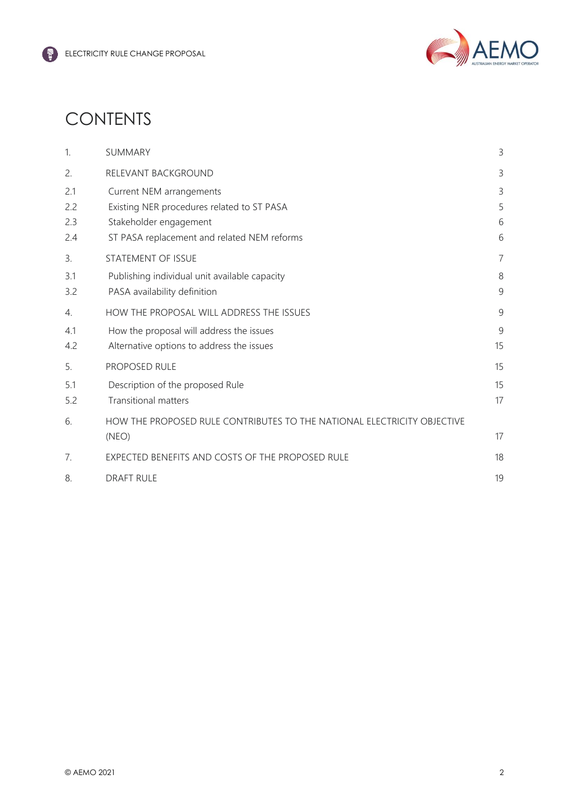

# **CONTENTS**

| 1.  | SUMMARY                                                                 | 3              |
|-----|-------------------------------------------------------------------------|----------------|
| 2.  | RELEVANT BACKGROUND                                                     | 3              |
| 2.1 | Current NEM arrangements                                                | 3              |
| 2.2 | Existing NER procedures related to ST PASA                              | 5              |
| 2.3 | Stakeholder engagement                                                  | 6              |
| 2.4 | ST PASA replacement and related NEM reforms                             | 6              |
| 3.  | STATEMENT OF ISSUE                                                      | $\overline{7}$ |
| 3.1 | Publishing individual unit available capacity                           | 8              |
| 3.2 | PASA availability definition                                            | 9              |
| 4.  | HOW THE PROPOSAL WILL ADDRESS THE ISSUES                                | 9              |
| 4.1 | How the proposal will address the issues                                | 9              |
| 4.2 | Alternative options to address the issues                               | 15             |
| 5.  | PROPOSED RULE                                                           | 15             |
| 5.1 | Description of the proposed Rule                                        | 15             |
| 5.2 | <b>Transitional matters</b>                                             | 17             |
| 6.  | HOW THE PROPOSED RULE CONTRIBUTES TO THE NATIONAL ELECTRICITY OBJECTIVE |                |
|     | (NEO)                                                                   | 17             |
| 7.  | EXPECTED BENEFITS AND COSTS OF THE PROPOSED RULE                        | 18             |
| 8.  | <b>DRAFT RULE</b>                                                       | 19             |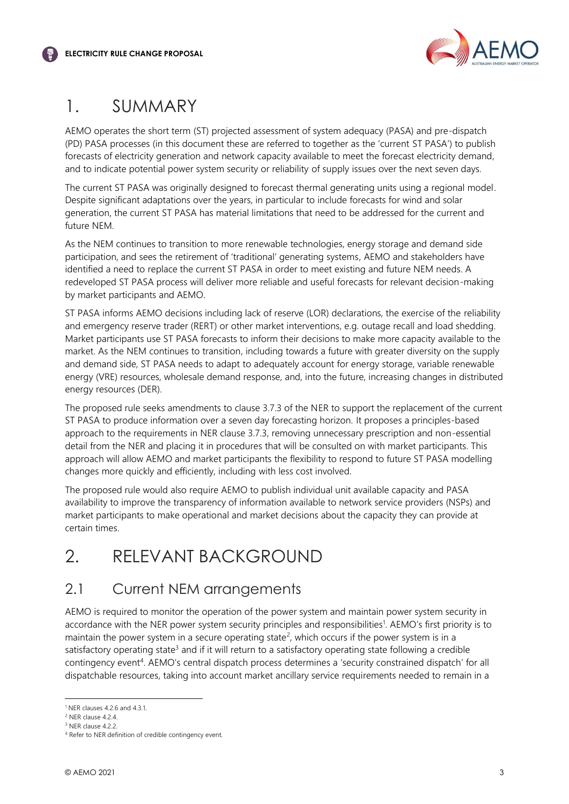

# <span id="page-3-0"></span>1. SUMMARY

AEMO operates the short term (ST) projected assessment of system adequacy (PASA) and pre-dispatch (PD) PASA processes (in this document these are referred to together as the 'current ST PASA') to publish forecasts of electricity generation and network capacity available to meet the forecast electricity demand, and to indicate potential power system security or reliability of supply issues over the next seven days.

The current ST PASA was originally designed to forecast thermal generating units using a regional model. Despite significant adaptations over the years, in particular to include forecasts for wind and solar generation, the current ST PASA has material limitations that need to be addressed for the current and future NEM.

As the NEM continues to transition to more renewable technologies, energy storage and demand side participation, and sees the retirement of 'traditional' generating systems, AEMO and stakeholders have identified a need to replace the current ST PASA in order to meet existing and future NEM needs. A redeveloped ST PASA process will deliver more reliable and useful forecasts for relevant decision-making by market participants and AEMO.

ST PASA informs AEMO decisions including lack of reserve (LOR) declarations, the exercise of the reliability and emergency reserve trader (RERT) or other market interventions, e.g. outage recall and load shedding. Market participants use ST PASA forecasts to inform their decisions to make more capacity available to the market. As the NEM continues to transition, including towards a future with greater diversity on the supply and demand side, ST PASA needs to adapt to adequately account for energy storage, variable renewable energy (VRE) resources, wholesale demand response, and, into the future, increasing changes in distributed energy resources (DER).

The proposed rule seeks amendments to clause 3.7.3 of the NER to support the replacement of the current ST PASA to produce information over a seven day forecasting horizon. It proposes a principles-based approach to the requirements in NER clause 3.7.3, removing unnecessary prescription and non-essential detail from the NER and placing it in procedures that will be consulted on with market participants. This approach will allow AEMO and market participants the flexibility to respond to future ST PASA modelling changes more quickly and efficiently, including with less cost involved.

The proposed rule would also require AEMO to publish individual unit available capacity and PASA availability to improve the transparency of information available to network service providers (NSPs) and market participants to make operational and market decisions about the capacity they can provide at certain times.

# <span id="page-3-1"></span>2. RELEVANT BACKGROUND

### <span id="page-3-2"></span>2.1 Current NEM arrangements

AEMO is required to monitor the operation of the power system and maintain power system security in accordance with the NER power system security principles and responsibilities<sup>1</sup>. AEMO's first priority is to maintain the power system in a secure operating state<sup>2</sup>, which occurs if the power system is in a satisfactory operating state<sup>3</sup> and if it will return to a satisfactory operating state following a credible contingency event<sup>4</sup>. AEMO's central dispatch process determines a 'security constrained dispatch' for all dispatchable resources, taking into account market ancillary service requirements needed to remain in a

<sup>1</sup> NER clauses 4.2.6 and 4.3.1.

<sup>2</sup> NER clause 4.2.4.

<sup>&</sup>lt;sup>3</sup> NER clause 4.2.2.

<sup>4</sup> Refer to NER definition of credible contingency event.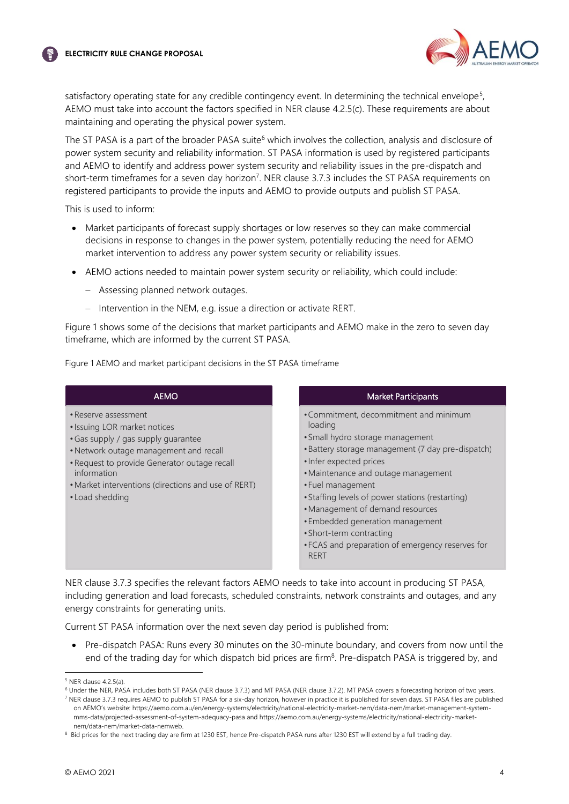

satisfactory operating state for any credible contingency event. In determining the technical envelope<sup>5</sup>, AEMO must take into account the factors specified in NER clause 4.2.5(c). These requirements are about maintaining and operating the physical power system.

The ST PASA is a part of the broader PASA suite<sup>6</sup> which involves the collection, analysis and disclosure of power system security and reliability information. ST PASA information is used by registered participants and AEMO to identify and address power system security and reliability issues in the pre-dispatch and short-term timeframes for a seven day horizon<sup>7</sup>. NER clause 3.7.3 includes the ST PASA requirements on registered participants to provide the inputs and AEMO to provide outputs and publish ST PASA.

This is used to inform:

- Market participants of forecast supply shortages or low reserves so they can make commercial decisions in response to changes in the power system, potentially reducing the need for AEMO market intervention to address any power system security or reliability issues.
- AEMO actions needed to maintain power system security or reliability, which could include:
	- − Assessing planned network outages.
	- − Intervention in the NEM, e.g. issue a direction or activate RERT.

Figure 1 shows some of the decisions that market participants and AEMO make in the zero to seven day timeframe, which are informed by the current ST PASA.

Figure 1 AEMO and market participant decisions in the ST PASA timeframe

#### AEMO

- Reserve assessment
- •Issuing LOR market notices
- •Gas supply / gas supply guarantee
- Network outage management and recall
- Request to provide Generator outage recall information
- Market interventions (directions and use of RERT)
- Load shedding

#### Market Participants

- •Commitment, decommitment and minimum loading
- •Small hydro storage management
- •Battery storage management (7 day pre-dispatch)
- Infer expected prices
- •Maintenance and outage management
- •Fuel management
- •Staffing levels of power stations (restarting)
- •Management of demand resources
- •Embedded generation management
- •Short-term contracting
- •FCAS and preparation of emergency reserves for RERT

NER clause 3.7.3 specifies the relevant factors AEMO needs to take into account in producing ST PASA, including generation and load forecasts, scheduled constraints, network constraints and outages, and any energy constraints for generating units.

Current ST PASA information over the next [seven day](https://aemo.com.au/energy-systems/electricity/national-electricity-market-nem/data-nem/market-data-nemweb) period is published from:

• Pre-dispatch PASA: Runs every 30 minutes on the 30-minute boundary, and covers from now until the end of the trading day for which dispatch bid prices are firm<sup>8</sup>. Pre-dispatch PASA is triggered by, and

 $5$  NFR clause 4.2.5(a).

<sup>6</sup> Under the NER, PASA includes both ST PASA (NER clause 3.7.3) and MT PASA (NER clause 3.7.2). MT PASA covers a forecasting horizon of two years.

<sup>7</sup> NER clause 3.7.3 requires AEMO to publish ST PASA for a six-day horizon, however in practice it is published for seven days. ST PASA files are published on AEMO's website: [https://aemo.com.au/en/energy-systems/electricity/national-electricity-market-nem/data-nem/market-management-system](https://aemo.com.au/en/energy-systems/electricity/national-electricity-market-nem/data-nem/market-management-system-mms-data/projected-assessment-of-system-adequacy-pasa)[mms-data/projected-assessment-of-system-adequacy-pasa](https://aemo.com.au/en/energy-systems/electricity/national-electricity-market-nem/data-nem/market-management-system-mms-data/projected-assessment-of-system-adequacy-pasa) and https://aemo.com.au/energy-systems/electricity/national-electricity-marketnem/data-nem/market-data-nemweb.

<sup>&</sup>lt;sup>8</sup> Bid prices for the next trading day are firm at 1230 EST, hence Pre-dispatch PASA runs after 1230 EST will extend by a full trading day.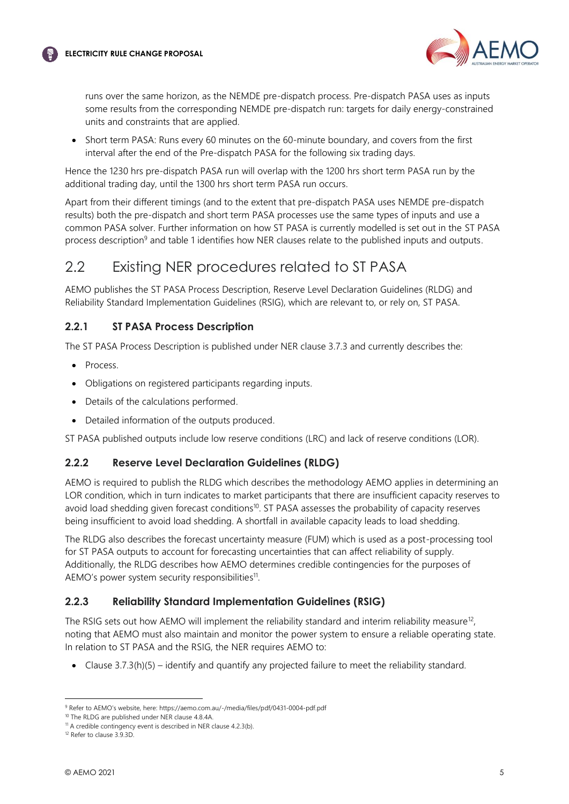



runs over the same horizon, as the NEMDE pre-dispatch process. Pre-dispatch PASA uses as inputs some results from the corresponding NEMDE pre-dispatch run: targets for daily energy-constrained units and constraints that are applied.

• Short term PASA: Runs every 60 minutes on the 60-minute boundary, and covers from the first interval after the end of the Pre-dispatch PASA for the following six trading days.

Hence the 1230 hrs pre-dispatch PASA run will overlap with the 1200 hrs short term PASA run by the additional trading day, until the 1300 hrs short term PASA run occurs.

Apart from their different timings (and to the extent that pre-dispatch PASA uses NEMDE pre-dispatch results) both the pre-dispatch and short term PASA processes use the same types of inputs and use a common PASA solver. Further information on how ST PASA is currently modelled is set out in the ST PASA process description<sup>9</sup> and table 1 identifies how NER clauses relate to the published inputs and outputs.

### <span id="page-5-0"></span>2.2 Existing NER procedures related to ST PASA

AEMO publishes the ST PASA Process Description, Reserve Level Declaration Guidelines (RLDG) and Reliability Standard Implementation Guidelines (RSIG), which are relevant to, or rely on, ST PASA.

### **2.2.1 ST PASA Process Description**

The ST PASA Process Description is published under NER clause 3.7.3 and currently describes the:

- Process.
- Obligations on registered participants regarding inputs.
- Details of the calculations performed.
- Detailed information of the outputs produced.

ST PASA published outputs include low reserve conditions (LRC) and lack of reserve conditions (LOR).

### **2.2.2 Reserve Level Declaration Guidelines (RLDG)**

AEMO is required to publish the RLDG which describes the methodology AEMO applies in determining an LOR condition, which in turn indicates to market participants that there are insufficient capacity reserves to avoid load shedding given forecast conditions<sup>10</sup>. ST PASA assesses the probability of capacity reserves being insufficient to avoid load shedding. A shortfall in available capacity leads to load shedding.

The RLDG also describes the forecast uncertainty measure (FUM) which is used as a post-processing tool for ST PASA outputs to account for forecasting uncertainties that can affect reliability of supply. Additionally, the RLDG describes how AEMO determines credible contingencies for the purposes of AEMO's power system security responsibilities<sup>11</sup>.

### **2.2.3 Reliability Standard Implementation Guidelines (RSIG)**

The RSIG sets out how AEMO will implement the reliability standard and interim reliability measure<sup>12</sup>, noting that AEMO must also maintain and monitor the power system to ensure a reliable operating state. In relation to ST PASA and the RSIG, the NER requires AEMO to:

• Clause 3.7.3(h)(5) – identify and quantify any projected failure to meet the reliability standard.

<sup>9</sup> Refer to AEMO's website, here: https://aemo.com.au/-/media/files/pdf/0431-0004-pdf.pdf

<sup>10</sup> The RLDG are published under NER clause 4.8.4A.

 $11$  A credible contingency event is described in NER clause 4.2.3(b).

<sup>&</sup>lt;sup>12</sup> Refer to clause 3.9.3D.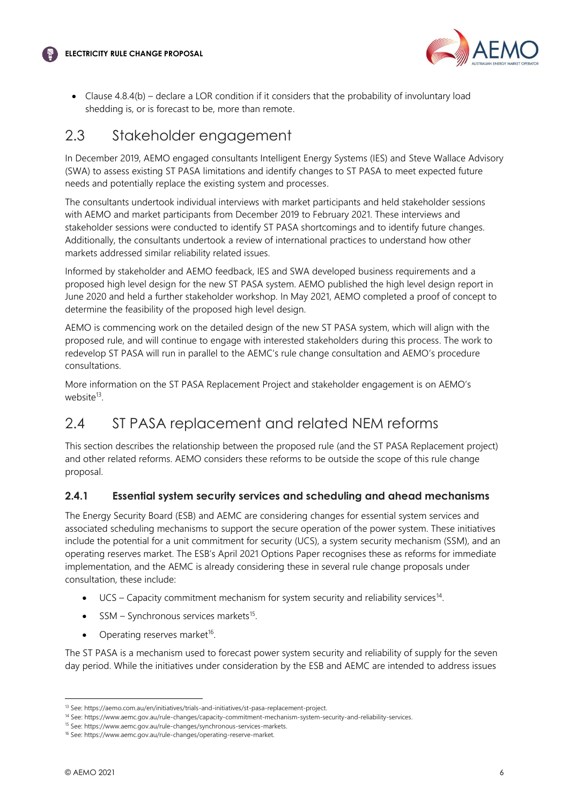

• Clause 4.8.4(b) – declare a LOR condition if it considers that the probability of involuntary load shedding is, or is forecast to be, more than remote.

### <span id="page-6-0"></span>2.3 Stakeholder engagement

In December 2019, AEMO engaged consultants Intelligent Energy Systems (IES) and Steve Wallace Advisory (SWA) to assess existing ST PASA limitations and identify changes to ST PASA to meet expected future needs and potentially replace the existing system and processes.

The consultants undertook individual interviews with market participants and held stakeholder sessions with AEMO and market participants from December 2019 to February 2021. These interviews and stakeholder sessions were conducted to identify ST PASA shortcomings and to identify future changes. Additionally, the consultants undertook a review of international practices to understand how other markets addressed similar reliability related issues.

Informed by stakeholder and AEMO feedback, IES and SWA developed business requirements and a proposed high level design for the new ST PASA system. AEMO published the high level design report in June 2020 and held a further stakeholder workshop. In May 2021, AEMO completed a proof of concept to determine the feasibility of the proposed high level design.

AEMO is commencing work on the detailed design of the new ST PASA system, which will align with the proposed rule, and will continue to engage with interested stakeholders during this process. The work to redevelop ST PASA will run in parallel to the AEMC's rule change consultation and AEMO's procedure consultations.

More information on the ST PASA Replacement Project and stakeholder engagement is on AEMO's website<sup>13</sup>.

# <span id="page-6-1"></span>2.4 ST PASA replacement and related NEM reforms

This section describes the relationship between the proposed rule (and the ST PASA Replacement project) and other related reforms. AEMO considers these reforms to be outside the scope of this rule change proposal.

### **2.4.1 Essential system security services and scheduling and ahead mechanisms**

The Energy Security Board (ESB) and AEMC are considering changes for essential system services and associated scheduling mechanisms to support the secure operation of the power system. These initiatives include the potential for a unit commitment for security (UCS), a system security mechanism (SSM), and an operating reserves market. The ESB's April 2021 Options Paper recognises these as reforms for immediate implementation, and the AEMC is already considering these in several rule change proposals under consultation, these include:

- $\bullet$  UCS Capacity commitment mechanism for system security and reliability services<sup>14</sup>.
- SSM Synchronous services markets<sup>15</sup>.
- Operating reserves market<sup>16</sup>.

The ST PASA is a mechanism used to forecast power system security and reliability of supply for the seven day period. While the initiatives under consideration by the ESB and AEMC are intended to address issues

<sup>13</sup> See[: https://aemo.com.au/en/initiatives/trials-and-initiatives/st-pasa-replacement-project.](https://aemo.com.au/en/initiatives/trials-and-initiatives/st-pasa-replacement-project) 

<sup>14</sup> See: https://www.aemc.gov.au/rule-changes/capacity-commitment-mechanism-system-security-and-reliability-services.

<sup>15</sup> See: https://www.aemc.gov.au/rule-changes/synchronous-services-markets.

<sup>16</sup> See: https://www.aemc.gov.au/rule-changes/operating-reserve-market.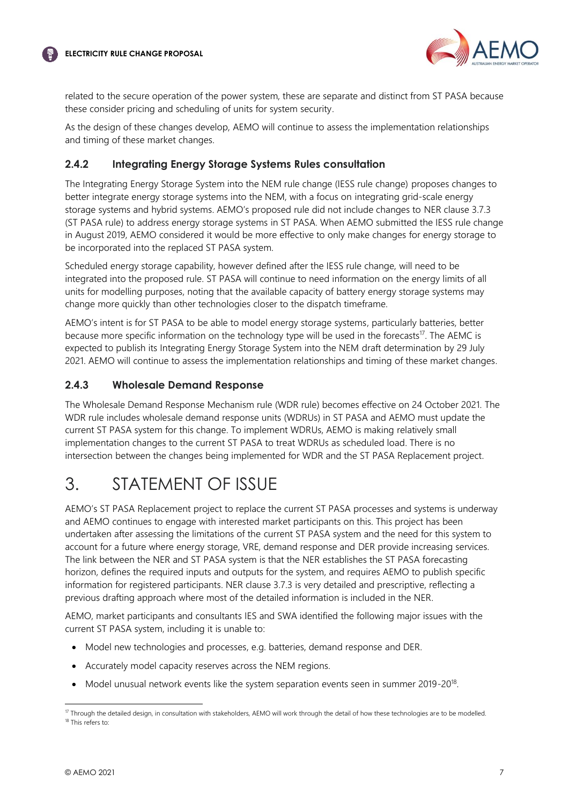

related to the secure operation of the power system, these are separate and distinct from ST PASA because these consider pricing and scheduling of units for system security.

As the design of these changes develop, AEMO will continue to assess the implementation relationships and timing of these market changes.

### **2.4.2 Integrating Energy Storage Systems Rules consultation**

The Integrating Energy Storage System into the NEM rule change (IESS rule change) proposes changes to better integrate energy storage systems into the NEM, with a focus on integrating grid-scale energy storage systems and hybrid systems. AEMO's proposed rule did not include changes to NER clause 3.7.3 (ST PASA rule) to address energy storage systems in ST PASA. When AEMO submitted the IESS rule change in August 2019, AEMO considered it would be more effective to only make changes for energy storage to be incorporated into the replaced ST PASA system.

Scheduled energy storage capability, however defined after the IESS rule change, will need to be integrated into the proposed rule. ST PASA will continue to need information on the energy limits of all units for modelling purposes, noting that the available capacity of battery energy storage systems may change more quickly than other technologies closer to the dispatch timeframe.

AEMO's intent is for ST PASA to be able to model energy storage systems, particularly batteries, better because more specific information on the technology type will be used in the forecasts<sup>17</sup>. The AEMC is expected to publish its Integrating Energy Storage System into the NEM draft determination by 29 July 2021. AEMO will continue to assess the implementation relationships and timing of these market changes.

#### **2.4.3 Wholesale Demand Response**

The Wholesale Demand Response Mechanism rule (WDR rule) becomes effective on 24 October 2021. The WDR rule includes wholesale demand response units (WDRUs) in ST PASA and AEMO must update the current ST PASA system for this change. To implement WDRUs, AEMO is making relatively small implementation changes to the current ST PASA to treat WDRUs as scheduled load. There is no intersection between the changes being implemented for WDR and the ST PASA Replacement project.

# <span id="page-7-0"></span>3. STATEMENT OF ISSUE

AEMO's ST PASA Replacement project to replace the current ST PASA processes and systems is underway and AEMO continues to engage with interested market participants on this. This project has been undertaken after assessing the limitations of the current ST PASA system and the need for this system to account for a future where energy storage, VRE, demand response and DER provide increasing services. The link between the NER and ST PASA system is that the NER establishes the ST PASA forecasting horizon, defines the required inputs and outputs for the system, and requires AEMO to publish specific information for registered participants. NER clause 3.7.3 is very detailed and prescriptive, reflecting a previous drafting approach where most of the detailed information is included in the NER.

AEMO, market participants and consultants IES and SWA identified the following major issues with the current ST PASA system, including it is unable to:

- Model new technologies and processes, e.g. batteries, demand response and DER.
- Accurately model capacity reserves across the NEM regions.
- Model unusual network events like the system separation events seen in summer 2019-20<sup>18</sup>.

<sup>&</sup>lt;sup>17</sup> Through the detailed design, in consultation with stakeholders, AEMO will work through the detail of how these technologies are to be modelled. <sup>18</sup> This refers to: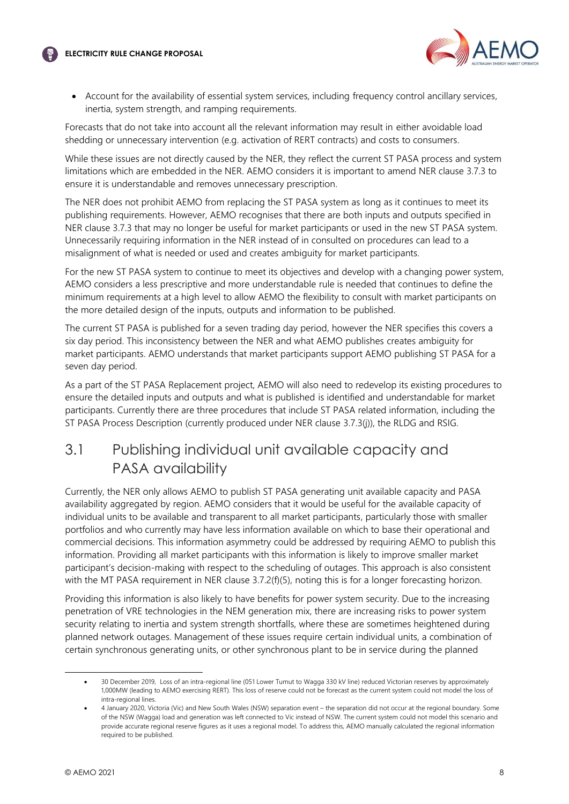



• Account for the availability of essential system services, including frequency control ancillary services, inertia, system strength, and ramping requirements.

Forecasts that do not take into account all the relevant information may result in either avoidable load shedding or unnecessary intervention (e.g. activation of RERT contracts) and costs to consumers.

While these issues are not directly caused by the NER, they reflect the current ST PASA process and system limitations which are embedded in the NER. AEMO considers it is important to amend NER clause 3.7.3 to ensure it is understandable and removes unnecessary prescription.

The NER does not prohibit AEMO from replacing the ST PASA system as long as it continues to meet its publishing requirements. However, AEMO recognises that there are both inputs and outputs specified in NER clause 3.7.3 that may no longer be useful for market participants or used in the new ST PASA system. Unnecessarily requiring information in the NER instead of in consulted on procedures can lead to a misalignment of what is needed or used and creates ambiguity for market participants.

For the new ST PASA system to continue to meet its objectives and develop with a changing power system, AEMO considers a less prescriptive and more understandable rule is needed that continues to define the minimum requirements at a high level to allow AEMO the flexibility to consult with market participants on the more detailed design of the inputs, outputs and information to be published.

The current ST PASA is published for a seven trading day period, however the NER specifies this covers a six day period. This inconsistency between the NER and what AEMO publishes creates ambiguity for market participants. AEMO understands that market participants support AEMO publishing ST PASA for a seven day period.

As a part of the ST PASA Replacement project, AEMO will also need to redevelop its existing procedures to ensure the detailed inputs and outputs and what is published is identified and understandable for market participants. Currently there are three procedures that include ST PASA related information, including the ST PASA Process Description (currently produced under NER clause 3.7.3(j)), the RLDG and RSIG.

# <span id="page-8-0"></span>3.1 Publishing individual unit available capacity and PASA availability

Currently, the NER only allows AEMO to publish ST PASA generating unit available capacity and PASA availability aggregated by region. AEMO considers that it would be useful for the available capacity of individual units to be available and transparent to all market participants, particularly those with smaller portfolios and who currently may have less information available on which to base their operational and commercial decisions. This information asymmetry could be addressed by requiring AEMO to publish this information. Providing all market participants with this information is likely to improve smaller market participant's decision-making with respect to the scheduling of outages. This approach is also consistent with the MT PASA requirement in NER clause 3.7.2(f)(5), noting this is for a longer forecasting horizon.

Providing this information is also likely to have benefits for power system security. Due to the increasing penetration of VRE technologies in the NEM generation mix, there are increasing risks to power system security relating to inertia and system strength shortfalls, where these are sometimes heightened during planned network outages. Management of these issues require certain individual units, a combination of certain synchronous generating units, or other synchronous plant to be in service during the planned

<sup>•</sup> 30 December 2019, Loss of an intra-regional line (051 Lower Tumut to Wagga 330 kV line) reduced Victorian reserves by approximately 1,000MW (leading to AEMO exercising RERT). This loss of reserve could not be forecast as the current system could not model the loss of intra-regional lines.

<sup>•</sup> 4 January 2020, Victoria (Vic) and New South Wales (NSW) separation event – the separation did not occur at the regional boundary. Some of the NSW (Wagga) load and generation was left connected to Vic instead of NSW. The current system could not model this scenario and provide accurate regional reserve figures as it uses a regional model. To address this, AEMO manually calculated the regional information required to be published.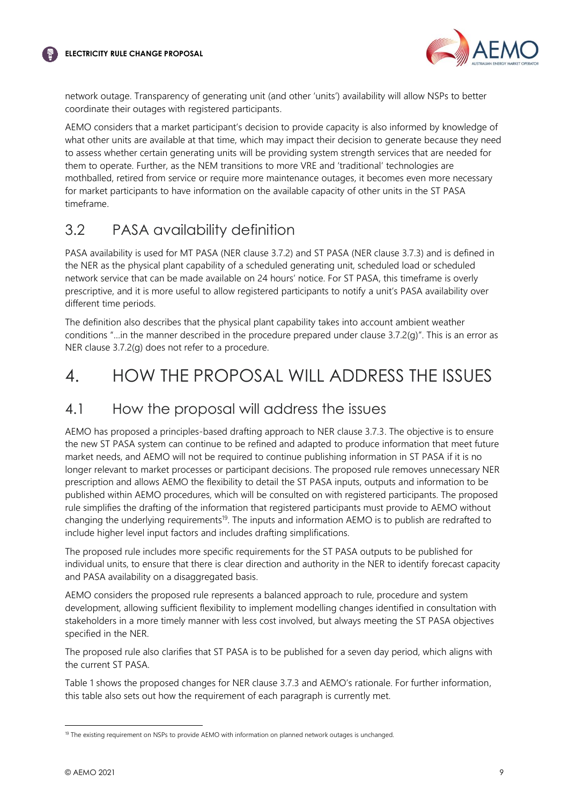

network outage. Transparency of generating unit (and other 'units') availability will allow NSPs to better coordinate their outages with registered participants.

AEMO considers that a market participant's decision to provide capacity is also informed by knowledge of what other units are available at that time, which may impact their decision to generate because they need to assess whether certain generating units will be providing system strength services that are needed for them to operate. Further, as the NEM transitions to more VRE and 'traditional' technologies are mothballed, retired from service or require more maintenance outages, it becomes even more necessary for market participants to have information on the available capacity of other units in the ST PASA timeframe.

### <span id="page-9-0"></span>3.2 PASA availability definition

PASA availability is used for MT PASA (NER clause 3.7.2) and ST PASA (NER clause 3.7.3) and is defined in the NER as the physical plant capability of a scheduled generating unit, scheduled load or scheduled network service that can be made available on 24 hours' notice. For ST PASA, this timeframe is overly prescriptive, and it is more useful to allow registered participants to notify a unit's PASA availability over different time periods.

The definition also describes that the physical plant capability takes into account ambient weather conditions "…in the manner described in the procedure prepared under clause 3.7.2(g)". This is an error as NER clause 3.7.2(g) does not refer to a procedure.

# <span id="page-9-1"></span>4. HOW THE PROPOSAL WILL ADDRESS THE ISSUES

### <span id="page-9-2"></span>4.1 How the proposal will address the issues

AEMO has proposed a principles-based drafting approach to NER clause 3.7.3. The objective is to ensure the new ST PASA system can continue to be refined and adapted to produce information that meet future market needs, and AEMO will not be required to continue publishing information in ST PASA if it is no longer relevant to market processes or participant decisions. The proposed rule removes unnecessary NER prescription and allows AEMO the flexibility to detail the ST PASA inputs, outputs and information to be published within AEMO procedures, which will be consulted on with registered participants. The proposed rule simplifies the drafting of the information that registered participants must provide to AEMO without changing the underlying requirements<sup>19</sup>. The inputs and information AEMO is to publish are redrafted to include higher level input factors and includes drafting simplifications.

The proposed rule includes more specific requirements for the ST PASA outputs to be published for individual units, to ensure that there is clear direction and authority in the NER to identify forecast capacity and PASA availability on a disaggregated basis.

AEMO considers the proposed rule represents a balanced approach to rule, procedure and system development, allowing sufficient flexibility to implement modelling changes identified in consultation with stakeholders in a more timely manner with less cost involved, but always meeting the ST PASA objectives specified in the NER.

The proposed rule also clarifies that ST PASA is to be published for a seven day period, which aligns with the current ST PASA.

Table 1 shows the proposed changes for NER clause 3.7.3 and AEMO's rationale. For further information, this table also sets out how the requirement of each paragraph is currently met.

<sup>&</sup>lt;sup>19</sup> The existing requirement on NSPs to provide AEMO with information on planned network outages is unchanged.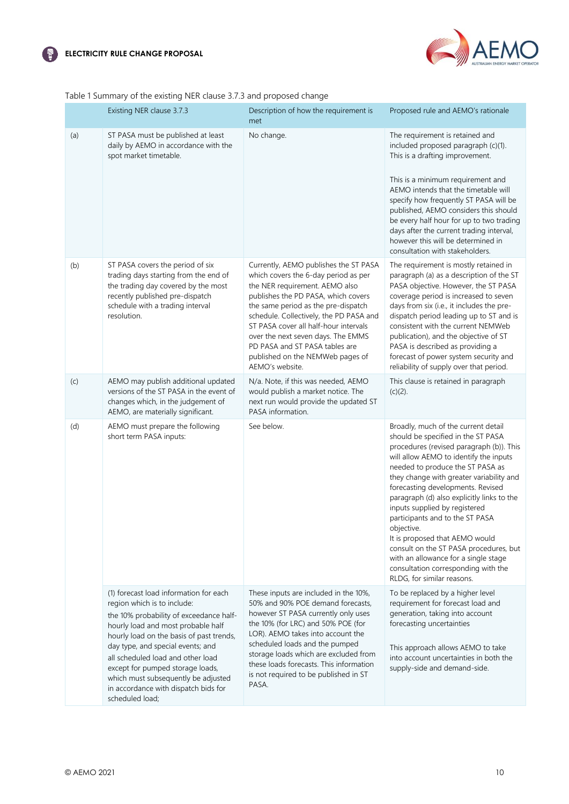



| Table 1 Summary of the existing NER clause 3.7.3 and proposed change |  |  |  |  |
|----------------------------------------------------------------------|--|--|--|--|
|                                                                      |  |  |  |  |

|     | Existing NER clause 3.7.3                                                                                                                                                                                                                                                                                                                                                                                          | Description of how the requirement is<br>met                                                                                                                                                                                                                                                                                                                                                                     | Proposed rule and AEMO's rationale                                                                                                                                                                                                                                                                                                                                                                                                                                                                                                                                                                            |
|-----|--------------------------------------------------------------------------------------------------------------------------------------------------------------------------------------------------------------------------------------------------------------------------------------------------------------------------------------------------------------------------------------------------------------------|------------------------------------------------------------------------------------------------------------------------------------------------------------------------------------------------------------------------------------------------------------------------------------------------------------------------------------------------------------------------------------------------------------------|---------------------------------------------------------------------------------------------------------------------------------------------------------------------------------------------------------------------------------------------------------------------------------------------------------------------------------------------------------------------------------------------------------------------------------------------------------------------------------------------------------------------------------------------------------------------------------------------------------------|
| (a) | ST PASA must be published at least<br>daily by AEMO in accordance with the<br>spot market timetable.                                                                                                                                                                                                                                                                                                               | No change.                                                                                                                                                                                                                                                                                                                                                                                                       | The requirement is retained and<br>included proposed paragraph (c)(1).<br>This is a drafting improvement.<br>This is a minimum requirement and<br>AEMO intends that the timetable will<br>specify how frequently ST PASA will be<br>published, AEMO considers this should<br>be every half hour for up to two trading<br>days after the current trading interval,<br>however this will be determined in<br>consultation with stakeholders.                                                                                                                                                                    |
| (b) | ST PASA covers the period of six<br>trading days starting from the end of<br>the trading day covered by the most<br>recently published pre-dispatch<br>schedule with a trading interval<br>resolution.                                                                                                                                                                                                             | Currently, AEMO publishes the ST PASA<br>which covers the 6-day period as per<br>the NER requirement. AEMO also<br>publishes the PD PASA, which covers<br>the same period as the pre-dispatch<br>schedule. Collectively, the PD PASA and<br>ST PASA cover all half-hour intervals<br>over the next seven days. The EMMS<br>PD PASA and ST PASA tables are<br>published on the NEMWeb pages of<br>AEMO's website. | The requirement is mostly retained in<br>paragraph (a) as a description of the ST<br>PASA objective. However, the ST PASA<br>coverage period is increased to seven<br>days from six (i.e., it includes the pre-<br>dispatch period leading up to ST and is<br>consistent with the current NEMWeb<br>publication), and the objective of ST<br>PASA is described as providing a<br>forecast of power system security and<br>reliability of supply over that period.                                                                                                                                             |
| (c) | AEMO may publish additional updated<br>versions of the ST PASA in the event of<br>changes which, in the judgement of<br>AEMO, are materially significant.                                                                                                                                                                                                                                                          | N/a. Note, if this was needed, AEMO<br>would publish a market notice. The<br>next run would provide the updated ST<br>PASA information.                                                                                                                                                                                                                                                                          | This clause is retained in paragraph<br>$(c)(2)$ .                                                                                                                                                                                                                                                                                                                                                                                                                                                                                                                                                            |
| (d) | AEMO must prepare the following<br>short term PASA inputs:                                                                                                                                                                                                                                                                                                                                                         | See below.                                                                                                                                                                                                                                                                                                                                                                                                       | Broadly, much of the current detail<br>should be specified in the ST PASA<br>procedures (revised paragraph (b)). This<br>will allow AEMO to identify the inputs<br>needed to produce the ST PASA as<br>they change with greater variability and<br>forecasting developments. Revised<br>paragraph (d) also explicitly links to the<br>inputs supplied by registered<br>participants and to the ST PASA<br>objective.<br>It is proposed that AEMO would<br>consult on the ST PASA procedures, but<br>with an allowance for a single stage<br>consultation corresponding with the<br>RLDG, for similar reasons. |
|     | (1) forecast load information for each<br>region which is to include:<br>the 10% probability of exceedance half-<br>hourly load and most probable half<br>hourly load on the basis of past trends,<br>day type, and special events; and<br>all scheduled load and other load<br>except for pumped storage loads,<br>which must subsequently be adjusted<br>in accordance with dispatch bids for<br>scheduled load; | These inputs are included in the 10%,<br>50% and 90% POE demand forecasts,<br>however ST PASA currently only uses<br>the 10% (for LRC) and 50% POE (for<br>LOR). AEMO takes into account the<br>scheduled loads and the pumped<br>storage loads which are excluded from<br>these loads forecasts. This information<br>is not required to be published in ST<br>PASA.                                             | To be replaced by a higher level<br>requirement for forecast load and<br>generation, taking into account<br>forecasting uncertainties<br>This approach allows AEMO to take<br>into account uncertainties in both the<br>supply-side and demand-side.                                                                                                                                                                                                                                                                                                                                                          |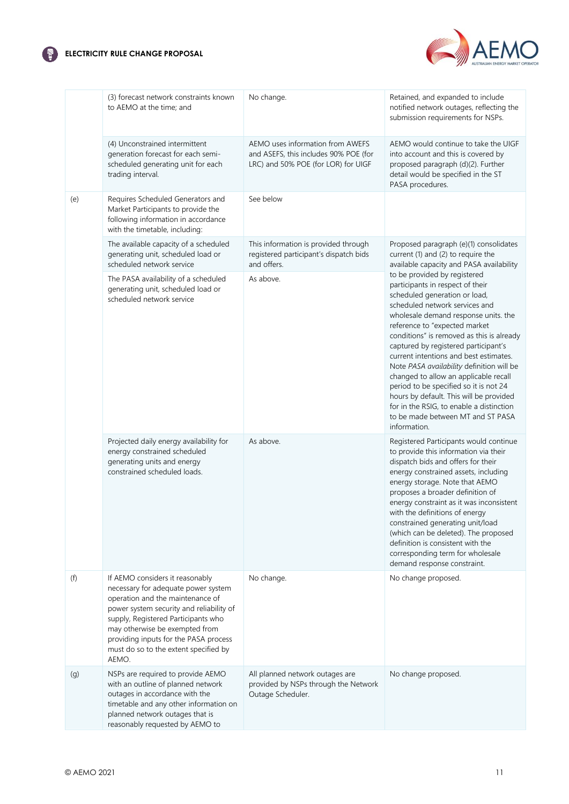



|     | (3) forecast network constraints known<br>to AEMO at the time; and                                                                                                                                                                                                                                                         | No change.                                                                                                       | Retained, and expanded to include<br>notified network outages, reflecting the<br>submission requirements for NSPs.                                                                                                                                                                                                                                                                                                                                                                                                                                                                                                      |
|-----|----------------------------------------------------------------------------------------------------------------------------------------------------------------------------------------------------------------------------------------------------------------------------------------------------------------------------|------------------------------------------------------------------------------------------------------------------|-------------------------------------------------------------------------------------------------------------------------------------------------------------------------------------------------------------------------------------------------------------------------------------------------------------------------------------------------------------------------------------------------------------------------------------------------------------------------------------------------------------------------------------------------------------------------------------------------------------------------|
|     | (4) Unconstrained intermittent<br>generation forecast for each semi-<br>scheduled generating unit for each<br>trading interval.                                                                                                                                                                                            | AEMO uses information from AWEFS<br>and ASEFS, this includes 90% POE (for<br>LRC) and 50% POE (for LOR) for UIGF | AEMO would continue to take the UIGF<br>into account and this is covered by<br>proposed paragraph (d)(2). Further<br>detail would be specified in the ST<br>PASA procedures.                                                                                                                                                                                                                                                                                                                                                                                                                                            |
| (e) | Requires Scheduled Generators and<br>Market Participants to provide the<br>following information in accordance<br>with the timetable, including:                                                                                                                                                                           | See below                                                                                                        |                                                                                                                                                                                                                                                                                                                                                                                                                                                                                                                                                                                                                         |
|     | The available capacity of a scheduled<br>generating unit, scheduled load or<br>scheduled network service                                                                                                                                                                                                                   | This information is provided through<br>registered participant's dispatch bids<br>and offers.                    | Proposed paragraph (e)(1) consolidates<br>current (1) and (2) to require the<br>available capacity and PASA availability                                                                                                                                                                                                                                                                                                                                                                                                                                                                                                |
|     | The PASA availability of a scheduled<br>generating unit, scheduled load or<br>scheduled network service                                                                                                                                                                                                                    | As above.                                                                                                        | to be provided by registered<br>participants in respect of their<br>scheduled generation or load,<br>scheduled network services and<br>wholesale demand response units. the<br>reference to "expected market<br>conditions" is removed as this is already<br>captured by registered participant's<br>current intentions and best estimates.<br>Note PASA availability definition will be<br>changed to allow an applicable recall<br>period to be specified so it is not 24<br>hours by default. This will be provided<br>for in the RSIG, to enable a distinction<br>to be made between MT and ST PASA<br>information. |
|     | Projected daily energy availability for<br>energy constrained scheduled<br>generating units and energy<br>constrained scheduled loads.                                                                                                                                                                                     | As above.                                                                                                        | Registered Participants would continue<br>to provide this information via their<br>dispatch bids and offers for their<br>energy constrained assets, including<br>energy storage. Note that AEMO<br>proposes a broader definition of<br>energy constraint as it was inconsistent<br>with the definitions of energy<br>constrained generating unit/load<br>(which can be deleted). The proposed<br>definition is consistent with the<br>corresponding term for wholesale<br>demand response constraint.                                                                                                                   |
| (f) | If AEMO considers it reasonably<br>necessary for adequate power system<br>operation and the maintenance of<br>power system security and reliability of<br>supply, Registered Participants who<br>may otherwise be exempted from<br>providing inputs for the PASA process<br>must do so to the extent specified by<br>AEMO. | No change.                                                                                                       | No change proposed.                                                                                                                                                                                                                                                                                                                                                                                                                                                                                                                                                                                                     |
| (g) | NSPs are required to provide AEMO<br>with an outline of planned network<br>outages in accordance with the<br>timetable and any other information on<br>planned network outages that is<br>reasonably requested by AEMO to                                                                                                  | All planned network outages are<br>provided by NSPs through the Network<br>Outage Scheduler.                     | No change proposed.                                                                                                                                                                                                                                                                                                                                                                                                                                                                                                                                                                                                     |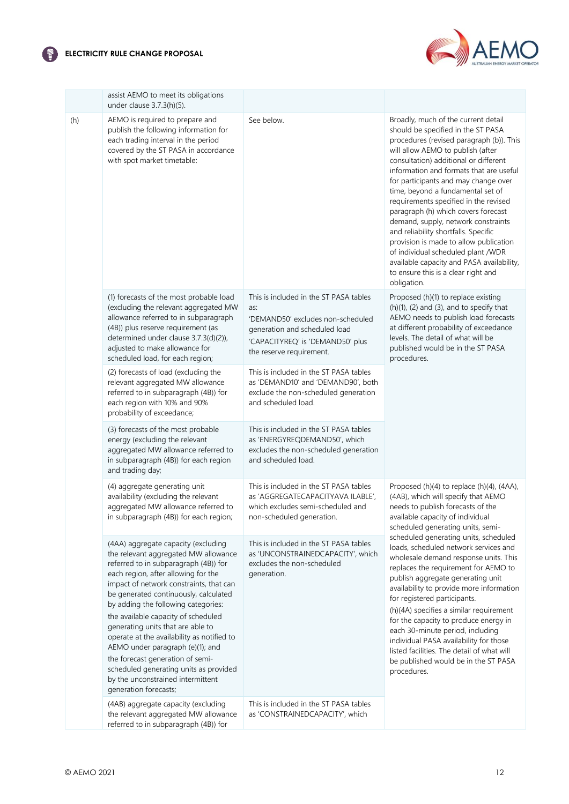### **ELECTRICITY RULE CHANGE PROPOSAL**



|     | assist AEMO to meet its obligations<br>under clause 3.7.3(h)(5).                                                                                                                                                                                                                                                                                                                                                                                                                                                                                                                                 |                                                                                                                                                                                     |                                                                                                                                                                                                                                                                                                                                                                                                                                                                                                                                                                                                                                                                               |
|-----|--------------------------------------------------------------------------------------------------------------------------------------------------------------------------------------------------------------------------------------------------------------------------------------------------------------------------------------------------------------------------------------------------------------------------------------------------------------------------------------------------------------------------------------------------------------------------------------------------|-------------------------------------------------------------------------------------------------------------------------------------------------------------------------------------|-------------------------------------------------------------------------------------------------------------------------------------------------------------------------------------------------------------------------------------------------------------------------------------------------------------------------------------------------------------------------------------------------------------------------------------------------------------------------------------------------------------------------------------------------------------------------------------------------------------------------------------------------------------------------------|
| (h) | AEMO is required to prepare and<br>publish the following information for<br>each trading interval in the period<br>covered by the ST PASA in accordance<br>with spot market timetable:                                                                                                                                                                                                                                                                                                                                                                                                           | See below.                                                                                                                                                                          | Broadly, much of the current detail<br>should be specified in the ST PASA<br>procedures (revised paragraph (b)). This<br>will allow AEMO to publish (after<br>consultation) additional or different<br>information and formats that are useful<br>for participants and may change over<br>time, beyond a fundamental set of<br>requirements specified in the revised<br>paragraph (h) which covers forecast<br>demand, supply, network constraints<br>and reliability shortfalls. Specific<br>provision is made to allow publication<br>of individual scheduled plant /WDR<br>available capacity and PASA availability,<br>to ensure this is a clear right and<br>obligation. |
|     | (1) forecasts of the most probable load<br>(excluding the relevant aggregated MW<br>allowance referred to in subparagraph<br>(4B)) plus reserve requirement (as<br>determined under clause 3.7.3(d)(2)),<br>adjusted to make allowance for<br>scheduled load, for each region;                                                                                                                                                                                                                                                                                                                   | This is included in the ST PASA tables<br>as:<br>'DEMAND50' excludes non-scheduled<br>generation and scheduled load<br>'CAPACITYREQ' is 'DEMAND50' plus<br>the reserve requirement. | Proposed (h)(1) to replace existing<br>$(h)(1)$ , $(2)$ and $(3)$ , and to specify that<br>AEMO needs to publish load forecasts<br>at different probability of exceedance<br>levels. The detail of what will be<br>published would be in the ST PASA<br>procedures.                                                                                                                                                                                                                                                                                                                                                                                                           |
|     | (2) forecasts of load (excluding the<br>relevant aggregated MW allowance<br>referred to in subparagraph (4B)) for<br>each region with 10% and 90%<br>probability of exceedance;                                                                                                                                                                                                                                                                                                                                                                                                                  | This is included in the ST PASA tables<br>as 'DEMAND10' and 'DEMAND90', both<br>exclude the non-scheduled generation<br>and scheduled load.                                         |                                                                                                                                                                                                                                                                                                                                                                                                                                                                                                                                                                                                                                                                               |
|     | (3) forecasts of the most probable<br>energy (excluding the relevant<br>aggregated MW allowance referred to<br>in subparagraph (4B)) for each region<br>and trading day;                                                                                                                                                                                                                                                                                                                                                                                                                         | This is included in the ST PASA tables<br>as 'ENERGYREQDEMAND50', which<br>excludes the non-scheduled generation<br>and scheduled load.                                             |                                                                                                                                                                                                                                                                                                                                                                                                                                                                                                                                                                                                                                                                               |
|     | (4) aggregate generating unit<br>availability (excluding the relevant<br>aggregated MW allowance referred to<br>in subparagraph (4B)) for each region;                                                                                                                                                                                                                                                                                                                                                                                                                                           | This is included in the ST PASA tables<br>as 'AGGREGATECAPACITYAVA ILABLE',<br>which excludes semi-scheduled and<br>non-scheduled generation.                                       | Proposed (h)(4) to replace (h)(4), (4AA),<br>(4AB), which will specify that AEMO<br>needs to publish forecasts of the<br>available capacity of individual<br>scheduled generating units, semi-                                                                                                                                                                                                                                                                                                                                                                                                                                                                                |
|     | (4AA) aggregate capacity (excluding<br>the relevant aggregated MW allowance<br>referred to in subparagraph (4B)) for<br>each region, after allowing for the<br>impact of network constraints, that can<br>be generated continuously, calculated<br>by adding the following categories:<br>the available capacity of scheduled<br>generating units that are able to<br>operate at the availability as notified to<br>AEMO under paragraph (e)(1); and<br>the forecast generation of semi-<br>scheduled generating units as provided<br>by the unconstrained intermittent<br>generation forecasts; | This is included in the ST PASA tables<br>as 'UNCONSTRAINEDCAPACITY', which<br>excludes the non-scheduled<br>generation.                                                            | scheduled generating units, scheduled<br>loads, scheduled network services and<br>wholesale demand response units. This<br>replaces the requirement for AEMO to<br>publish aggregate generating unit<br>availability to provide more information<br>for registered participants.<br>(h)(4A) specifies a similar requirement<br>for the capacity to produce energy in<br>each 30-minute period, including<br>individual PASA availability for those<br>listed facilities. The detail of what will<br>be published would be in the ST PASA<br>procedures.                                                                                                                       |
|     | (4AB) aggregate capacity (excluding<br>the relevant aggregated MW allowance<br>referred to in subparagraph (4B)) for                                                                                                                                                                                                                                                                                                                                                                                                                                                                             | This is included in the ST PASA tables<br>as 'CONSTRAINEDCAPACITY', which                                                                                                           |                                                                                                                                                                                                                                                                                                                                                                                                                                                                                                                                                                                                                                                                               |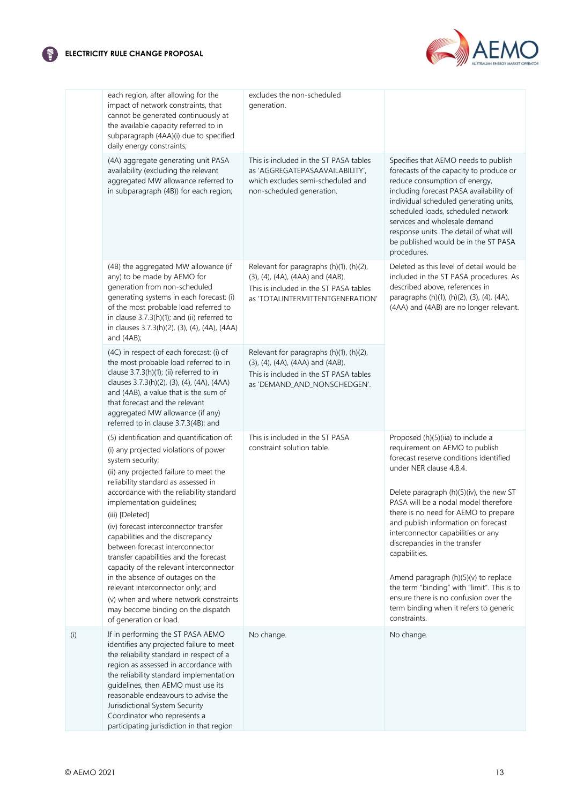

|     | each region, after allowing for the<br>impact of network constraints, that<br>cannot be generated continuously at<br>the available capacity referred to in<br>subparagraph (4AA)(i) due to specified<br>daily energy constraints;                                                                                                                                                                                                                                                                                                                                                                                                                                            | excludes the non-scheduled<br>generation.                                                                                                                 |                                                                                                                                                                                                                                                                                                                                                                                                                                                                                                                                                                                              |
|-----|------------------------------------------------------------------------------------------------------------------------------------------------------------------------------------------------------------------------------------------------------------------------------------------------------------------------------------------------------------------------------------------------------------------------------------------------------------------------------------------------------------------------------------------------------------------------------------------------------------------------------------------------------------------------------|-----------------------------------------------------------------------------------------------------------------------------------------------------------|----------------------------------------------------------------------------------------------------------------------------------------------------------------------------------------------------------------------------------------------------------------------------------------------------------------------------------------------------------------------------------------------------------------------------------------------------------------------------------------------------------------------------------------------------------------------------------------------|
|     | (4A) aggregate generating unit PASA<br>availability (excluding the relevant<br>aggregated MW allowance referred to<br>in subparagraph (4B)) for each region;                                                                                                                                                                                                                                                                                                                                                                                                                                                                                                                 | This is included in the ST PASA tables<br>as 'AGGREGATEPASAAVAILABILITY',<br>which excludes semi-scheduled and<br>non-scheduled generation.               | Specifies that AEMO needs to publish<br>forecasts of the capacity to produce or<br>reduce consumption of energy,<br>including forecast PASA availability of<br>individual scheduled generating units,<br>scheduled loads, scheduled network<br>services and wholesale demand<br>response units. The detail of what will<br>be published would be in the ST PASA<br>procedures.                                                                                                                                                                                                               |
|     | (4B) the aggregated MW allowance (if<br>any) to be made by AEMO for<br>generation from non-scheduled<br>generating systems in each forecast: (i)<br>of the most probable load referred to<br>in clause 3.7.3(h)(1); and (ii) referred to<br>in clauses 3.7.3(h)(2), (3), (4), (4A), (4AA)<br>and $(4AB)$ ;                                                                                                                                                                                                                                                                                                                                                                   | Relevant for paragraphs (h)(1), (h)(2),<br>(3), (4), (4A), (4AA) and (4AB).<br>This is included in the ST PASA tables<br>as 'TOTALINTERMITTENTGENERATION' | Deleted as this level of detail would be<br>included in the ST PASA procedures. As<br>described above, references in<br>paragraphs (h)(1), (h)(2), (3), (4), (4A),<br>(4AA) and (4AB) are no longer relevant.                                                                                                                                                                                                                                                                                                                                                                                |
|     | (4C) in respect of each forecast: (i) of<br>the most probable load referred to in<br>clause 3.7.3(h)(1); (ii) referred to in<br>clauses 3.7.3(h)(2), (3), (4), (4A), (4AA)<br>and (4AB), a value that is the sum of<br>that forecast and the relevant<br>aggregated MW allowance (if any)<br>referred to in clause 3.7.3(4B); and                                                                                                                                                                                                                                                                                                                                            | Relevant for paragraphs (h)(1), (h)(2),<br>(3), (4), (4A), (4AA) and (4AB).<br>This is included in the ST PASA tables<br>as 'DEMAND_AND_NONSCHEDGEN'.     |                                                                                                                                                                                                                                                                                                                                                                                                                                                                                                                                                                                              |
|     | (5) identification and quantification of:<br>(i) any projected violations of power<br>system security;<br>(ii) any projected failure to meet the<br>reliability standard as assessed in<br>accordance with the reliability standard<br>implementation guidelines;<br>(iii) [Deleted]<br>(iv) forecast interconnector transfer<br>capabilities and the discrepancy<br>between forecast interconnector<br>transfer capabilities and the forecast<br>capacity of the relevant interconnector<br>in the absence of outages on the<br>relevant interconnector only; and<br>(v) when and where network constraints<br>may become binding on the dispatch<br>of generation or load. | This is included in the ST PASA<br>constraint solution table.                                                                                             | Proposed (h)(5)(iia) to include a<br>requirement on AEMO to publish<br>forecast reserve conditions identified<br>under NER clause 4.8.4.<br>Delete paragraph (h)(5)(iv), the new ST<br>PASA will be a nodal model therefore<br>there is no need for AEMO to prepare<br>and publish information on forecast<br>interconnector capabilities or any<br>discrepancies in the transfer<br>capabilities.<br>Amend paragraph (h)(5)(v) to replace<br>the term "binding" with "limit". This is to<br>ensure there is no confusion over the<br>term binding when it refers to generic<br>constraints. |
| (i) | If in performing the ST PASA AEMO<br>identifies any projected failure to meet<br>the reliability standard in respect of a<br>region as assessed in accordance with<br>the reliability standard implementation<br>guidelines, then AEMO must use its<br>reasonable endeavours to advise the<br>Jurisdictional System Security<br>Coordinator who represents a<br>participating jurisdiction in that region                                                                                                                                                                                                                                                                    | No change.                                                                                                                                                | No change.                                                                                                                                                                                                                                                                                                                                                                                                                                                                                                                                                                                   |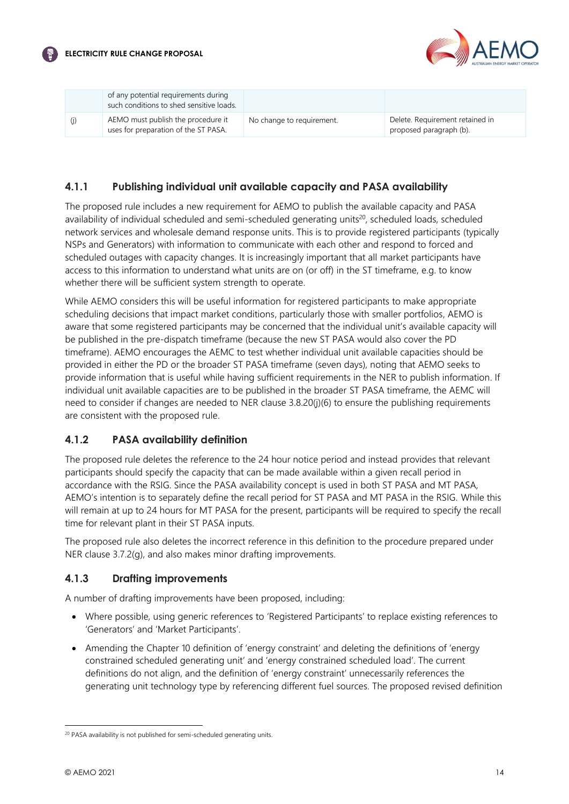

|     | of any potential requirements during<br>such conditions to shed sensitive loads. |                           |                                                            |
|-----|----------------------------------------------------------------------------------|---------------------------|------------------------------------------------------------|
| (j) | AEMO must publish the procedure it<br>uses for preparation of the ST PASA.       | No change to requirement. | Delete. Requirement retained in<br>proposed paragraph (b). |

### **4.1.1 Publishing individual unit available capacity and PASA availability**

The proposed rule includes a new requirement for AEMO to publish the available capacity and PASA availability of individual scheduled and semi-scheduled generating units<sup>20</sup>, scheduled loads, scheduled network services and wholesale demand response units. This is to provide registered participants (typically NSPs and Generators) with information to communicate with each other and respond to forced and scheduled outages with capacity changes. It is increasingly important that all market participants have access to this information to understand what units are on (or off) in the ST timeframe, e.g. to know whether there will be sufficient system strength to operate.

While AEMO considers this will be useful information for registered participants to make appropriate scheduling decisions that impact market conditions, particularly those with smaller portfolios, AEMO is aware that some registered participants may be concerned that the individual unit's available capacity will be published in the pre-dispatch timeframe (because the new ST PASA would also cover the PD timeframe). AEMO encourages the AEMC to test whether individual unit available capacities should be provided in either the PD or the broader ST PASA timeframe (seven days), noting that AEMO seeks to provide information that is useful while having sufficient requirements in the NER to publish information. If individual unit available capacities are to be published in the broader ST PASA timeframe, the AEMC will need to consider if changes are needed to NER clause 3.8.20(j)(6) to ensure the publishing requirements are consistent with the proposed rule.

#### **4.1.2 PASA availability definition**

The proposed rule deletes the reference to the 24 hour notice period and instead provides that relevant participants should specify the capacity that can be made available within a given recall period in accordance with the RSIG. Since the PASA availability concept is used in both ST PASA and MT PASA, AEMO's intention is to separately define the recall period for ST PASA and MT PASA in the RSIG. While this will remain at up to 24 hours for MT PASA for the present, participants will be required to specify the recall time for relevant plant in their ST PASA inputs.

The proposed rule also deletes the incorrect reference in this definition to the procedure prepared under NER clause 3.7.2(g), and also makes minor drafting improvements.

#### **4.1.3 Drafting improvements**

A number of drafting improvements have been proposed, including:

- Where possible, using generic references to 'Registered Participants' to replace existing references to 'Generators' and 'Market Participants'.
- Amending the Chapter 10 definition of 'energy constraint' and deleting the definitions of 'energy constrained scheduled generating unit' and 'energy constrained scheduled load'. The current definitions do not align, and the definition of 'energy constraint' unnecessarily references the generating unit technology type by referencing different fuel sources. The proposed revised definition

<sup>&</sup>lt;sup>20</sup> PASA availability is not published for semi-scheduled generating units.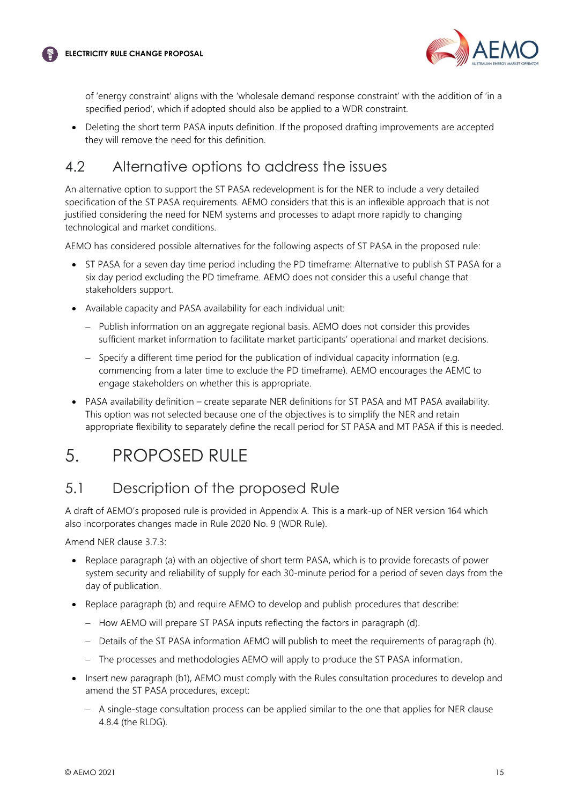



of 'energy constraint' aligns with the 'wholesale demand response constraint' with the addition of 'in a specified period', which if adopted should also be applied to a WDR constraint.

• Deleting the short term PASA inputs definition. If the proposed drafting improvements are accepted they will remove the need for this definition.

# <span id="page-15-0"></span>4.2 Alternative options to address the issues

An alternative option to support the ST PASA redevelopment is for the NER to include a very detailed specification of the ST PASA requirements. AEMO considers that this is an inflexible approach that is not justified considering the need for NEM systems and processes to adapt more rapidly to changing technological and market conditions.

AEMO has considered possible alternatives for the following aspects of ST PASA in the proposed rule:

- ST PASA for a seven day time period including the PD timeframe: Alternative to publish ST PASA for a six day period excluding the PD timeframe. AEMO does not consider this a useful change that stakeholders support.
- Available capacity and PASA availability for each individual unit:
	- − Publish information on an aggregate regional basis. AEMO does not consider this provides sufficient market information to facilitate market participants' operational and market decisions.
	- − Specify a different time period for the publication of individual capacity information (e.g. commencing from a later time to exclude the PD timeframe). AEMO encourages the AEMC to engage stakeholders on whether this is appropriate.
- PASA availability definition create separate NER definitions for ST PASA and MT PASA availability. This option was not selected because one of the objectives is to simplify the NER and retain appropriate flexibility to separately define the recall period for ST PASA and MT PASA if this is needed.

# <span id="page-15-1"></span>5. PROPOSED RULE

### <span id="page-15-2"></span>5.1 Description of the proposed Rule

A draft of AEMO's proposed rule is provided in Appendix A. This is a mark-up of NER version 164 which also incorporates changes made in Rule 2020 No. 9 (WDR Rule).

Amend NER clause 3.7.3:

- Replace paragraph (a) with an objective of short term PASA, which is to provide forecasts of power system security and reliability of supply for each 30-minute period for a period of seven days from the day of publication.
- Replace paragraph (b) and require AEMO to develop and publish procedures that describe:
	- − How AEMO will prepare ST PASA inputs reflecting the factors in paragraph (d).
	- − Details of the ST PASA information AEMO will publish to meet the requirements of paragraph (h).
	- − The processes and methodologies AEMO will apply to produce the ST PASA information.
- Insert new paragraph (b1), AEMO must comply with the Rules consultation procedures to develop and amend the ST PASA procedures, except:
	- − A single-stage consultation process can be applied similar to the one that applies for NER clause 4.8.4 (the RLDG).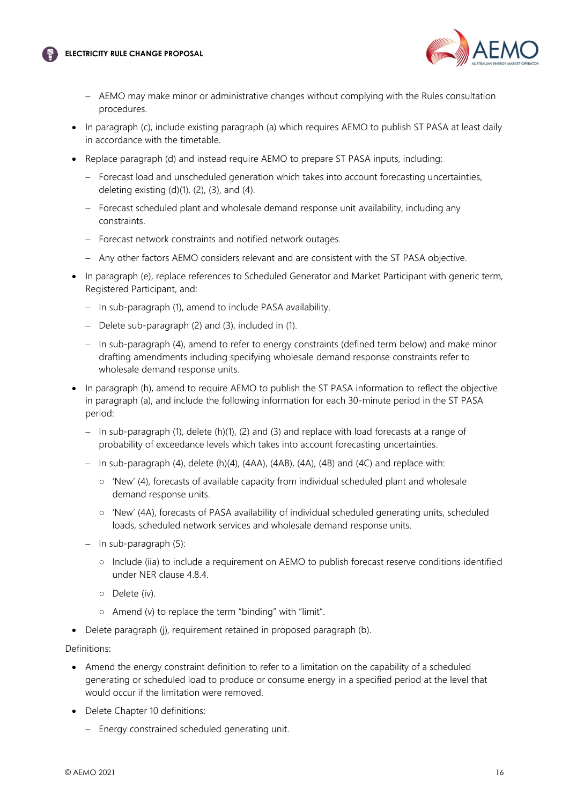#### **ELECTRICITY RULE CHANGE PROPOSAL**



- − AEMO may make minor or administrative changes without complying with the Rules consultation procedures.
- In paragraph (c), include existing paragraph (a) which requires AEMO to publish ST PASA at least daily in accordance with the timetable.
- Replace paragraph (d) and instead require AEMO to prepare ST PASA inputs, including:
	- − Forecast load and unscheduled generation which takes into account forecasting uncertainties, deleting existing  $(d)(1)$ ,  $(2)$ ,  $(3)$ , and  $(4)$ .
	- − Forecast scheduled plant and wholesale demand response unit availability, including any constraints.
	- − Forecast network constraints and notified network outages.
	- − Any other factors AEMO considers relevant and are consistent with the ST PASA objective.
- In paragraph (e), replace references to Scheduled Generator and Market Participant with generic term, Registered Participant, and:
	- − In sub-paragraph (1), amend to include PASA availability.
	- − Delete sub-paragraph (2) and (3), included in (1).
	- − In sub-paragraph (4), amend to refer to energy constraints (defined term below) and make minor drafting amendments including specifying wholesale demand response constraints refer to wholesale demand response units.
- In paragraph (h), amend to require AEMO to publish the ST PASA information to reflect the objective in paragraph (a), and include the following information for each 30-minute period in the ST PASA period:
	- − In sub-paragraph (1), delete (h)(1), (2) and (3) and replace with load forecasts at a range of probability of exceedance levels which takes into account forecasting uncertainties.
	- − In sub-paragraph (4), delete (h)(4), (4AA), (4AB), (4A), (4B) and (4C) and replace with:
		- 'New' (4), forecasts of available capacity from individual scheduled plant and wholesale demand response units.
		- 'New' (4A), forecasts of PASA availability of individual scheduled generating units, scheduled loads, scheduled network services and wholesale demand response units.
	- − In sub-paragraph (5):
		- Include (iia) to include a requirement on AEMO to publish forecast reserve conditions identified under NER clause 4.8.4.
		- Delete (iv).
		- Amend (v) to replace the term "binding" with "limit".
- Delete paragraph (j), requirement retained in proposed paragraph (b).

#### Definitions:

- Amend the energy constraint definition to refer to a limitation on the capability of a scheduled generating or scheduled load to produce or consume energy in a specified period at the level that would occur if the limitation were removed.
- Delete Chapter 10 definitions:
	- − Energy constrained scheduled generating unit.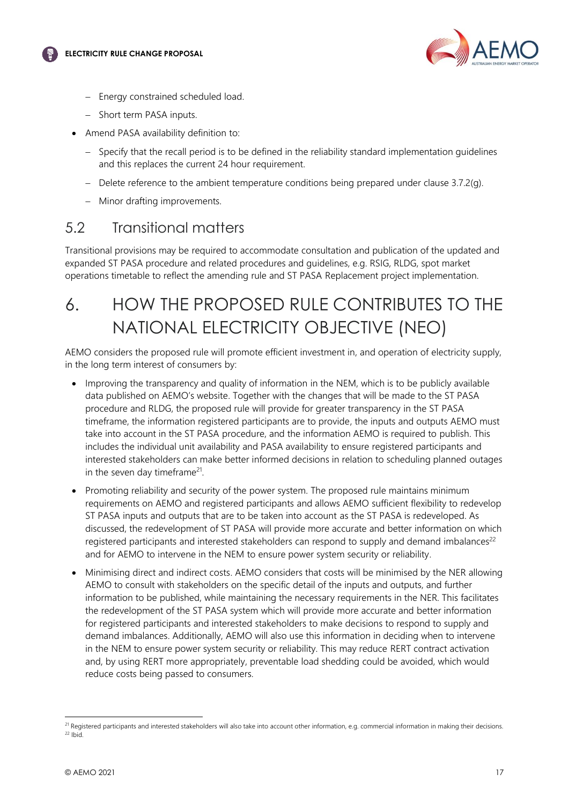



- − Energy constrained scheduled load.
- − Short term PASA inputs.
- Amend PASA availability definition to:
	- − Specify that the recall period is to be defined in the reliability standard implementation guidelines and this replaces the current 24 hour requirement.
	- − Delete reference to the ambient temperature conditions being prepared under clause 3.7.2(g).
	- − Minor drafting improvements.

### <span id="page-17-0"></span>5.2 Transitional matters

Transitional provisions may be required to accommodate consultation and publication of the updated and expanded ST PASA procedure and related procedures and guidelines, e.g. RSIG, RLDG, spot market operations timetable to reflect the amending rule and ST PASA Replacement project implementation.

# <span id="page-17-1"></span>6. HOW THE PROPOSED RULE CONTRIBUTES TO THE NATIONAL ELECTRICITY OBJECTIVE (NEO)

AEMO considers the proposed rule will promote efficient investment in, and operation of electricity supply, in the long term interest of consumers by:

- Improving the transparency and quality of information in the NEM, which is to be publicly available data published on AEMO's website. Together with the changes that will be made to the ST PASA procedure and RLDG, the proposed rule will provide for greater transparency in the ST PASA timeframe, the information registered participants are to provide, the inputs and outputs AEMO must take into account in the ST PASA procedure, and the information AEMO is required to publish. This includes the individual unit availability and PASA availability to ensure registered participants and interested stakeholders can make better informed decisions in relation to scheduling planned outages in the seven day timeframe<sup>21</sup>.
- Promoting reliability and security of the power system. The proposed rule maintains minimum requirements on AEMO and registered participants and allows AEMO sufficient flexibility to redevelop ST PASA inputs and outputs that are to be taken into account as the ST PASA is redeveloped. As discussed, the redevelopment of ST PASA will provide more accurate and better information on which registered participants and interested stakeholders can respond to supply and demand imbalances<sup>22</sup> and for AEMO to intervene in the NEM to ensure power system security or reliability.
- Minimising direct and indirect costs. AEMO considers that costs will be minimised by the NER allowing AEMO to consult with stakeholders on the specific detail of the inputs and outputs, and further information to be published, while maintaining the necessary requirements in the NER. This facilitates the redevelopment of the ST PASA system which will provide more accurate and better information for registered participants and interested stakeholders to make decisions to respond to supply and demand imbalances. Additionally, AEMO will also use this information in deciding when to intervene in the NEM to ensure power system security or reliability. This may reduce RERT contract activation and, by using RERT more appropriately, preventable load shedding could be avoided, which would reduce costs being passed to consumers.

<sup>&</sup>lt;sup>21</sup> Registered participants and interested stakeholders will also take into account other information, e.g. commercial information in making their decisions.  $22$  Ibid.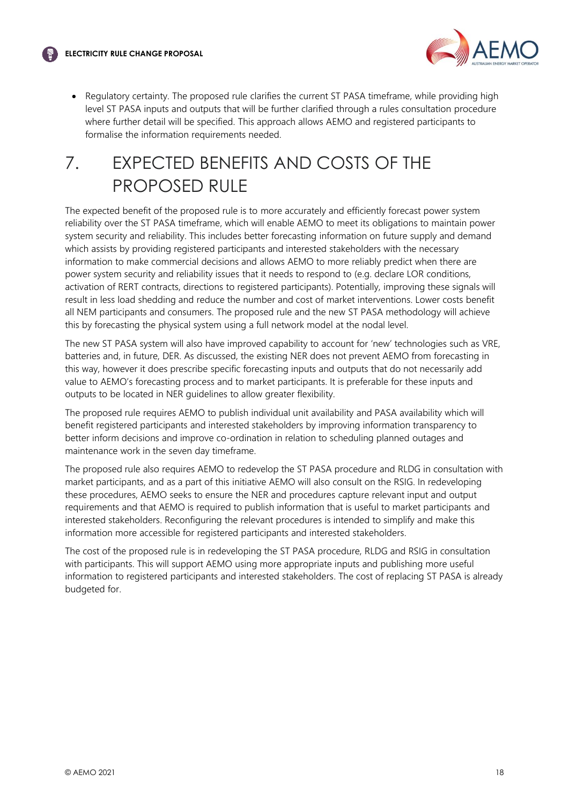

• Regulatory certainty. The proposed rule clarifies the current ST PASA timeframe, while providing high level ST PASA inputs and outputs that will be further clarified through a rules consultation procedure where further detail will be specified. This approach allows AEMO and registered participants to formalise the information requirements needed.

# <span id="page-18-0"></span>7. EXPECTED BENEFITS AND COSTS OF THE PROPOSED RULE

The expected benefit of the proposed rule is to more accurately and efficiently forecast power system reliability over the ST PASA timeframe, which will enable AEMO to meet its obligations to maintain power system security and reliability. This includes better forecasting information on future supply and demand which assists by providing registered participants and interested stakeholders with the necessary information to make commercial decisions and allows AEMO to more reliably predict when there are power system security and reliability issues that it needs to respond to (e.g. declare LOR conditions, activation of RERT contracts, directions to registered participants). Potentially, improving these signals will result in less load shedding and reduce the number and cost of market interventions. Lower costs benefit all NEM participants and consumers. The proposed rule and the new ST PASA methodology will achieve this by forecasting the physical system using a full network model at the nodal level.

The new ST PASA system will also have improved capability to account for 'new' technologies such as VRE, batteries and, in future, DER. As discussed, the existing NER does not prevent AEMO from forecasting in this way, however it does prescribe specific forecasting inputs and outputs that do not necessarily add value to AEMO's forecasting process and to market participants. It is preferable for these inputs and outputs to be located in NER guidelines to allow greater flexibility.

The proposed rule requires AEMO to publish individual unit availability and PASA availability which will benefit registered participants and interested stakeholders by improving information transparency to better inform decisions and improve co-ordination in relation to scheduling planned outages and maintenance work in the seven day timeframe.

The proposed rule also requires AEMO to redevelop the ST PASA procedure and RLDG in consultation with market participants, and as a part of this initiative AEMO will also consult on the RSIG. In redeveloping these procedures, AEMO seeks to ensure the NER and procedures capture relevant input and output requirements and that AEMO is required to publish information that is useful to market participants and interested stakeholders. Reconfiguring the relevant procedures is intended to simplify and make this information more accessible for registered participants and interested stakeholders.

The cost of the proposed rule is in redeveloping the ST PASA procedure, RLDG and RSIG in consultation with participants. This will support AEMO using more appropriate inputs and publishing more useful information to registered participants and interested stakeholders. The cost of replacing ST PASA is already budgeted for.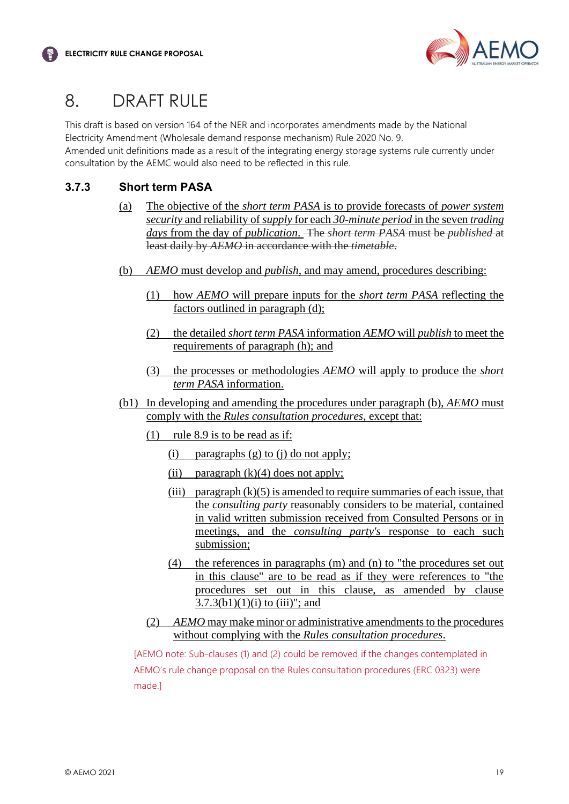

# <span id="page-19-0"></span>8. DRAFT RULE

This draft is based on version 164 of the NER and incorporates amendments made by the National Electricity Amendment (Wholesale demand response mechanism) Rule 2020 No. 9. Amended unit definitions made as a result of the integrating energy storage systems rule currently under

### **3.7.3 Short term PASA**

- (a) The objective of the *short term PASA* is to provide forecasts of *power system security* and reliability of *supply* for each *30-minute period* in the seven *trading days* from the day of *publication*. The *short term PASA* must be *published* at least daily by *AEMO* in accordance with the *timetable*.
- (b) *AEMO* must develop and *publish*, and may amend, procedures describing:
	- (1) how *AEMO* will prepare inputs for the *short term PASA* reflecting the factors outlined in paragraph (d);
	- (2) the detailed *short term PASA* information *AEMO* will *publish* to meet the requirements of paragraph (h); and
	- (3) the processes or methodologies *AEMO* will apply to produce the *short term PASA* information.
- (b1) In developing and amending the procedures under paragraph (b), *AEMO* must comply with the *Rules consultation procedures*, except that:
	- (1) rule 8.9 is to be read as if:

consultation by the AEMC would also need to be reflected in this rule.

- (i) paragraphs (g) to (j) do not apply;
- (ii) paragraph  $(k)(4)$  does not apply;
- (iii) paragraph  $(k)(5)$  is amended to require summaries of each issue, that the *consulting party* reasonably considers to be material, contained in valid written submission received from Consulted Persons or in meetings, and the *consulting party's* response to each such submission;
- (4) the references in paragraphs (m) and (n) to "the procedures set out in this clause" are to be read as if they were references to "the procedures set out in this clause, as amended by clause  $3.7.3(b1)(1)(i)$  to (iii)"; and
- (2) *AEMO* may make minor or administrative amendments to the procedures without complying with the *Rules consultation procedures*.

[AEMO note: Sub-clauses (1) and (2) could be removed if the changes contemplated in AEMO's rule change proposal on the Rules consultation procedures (ERC 0323) were made.]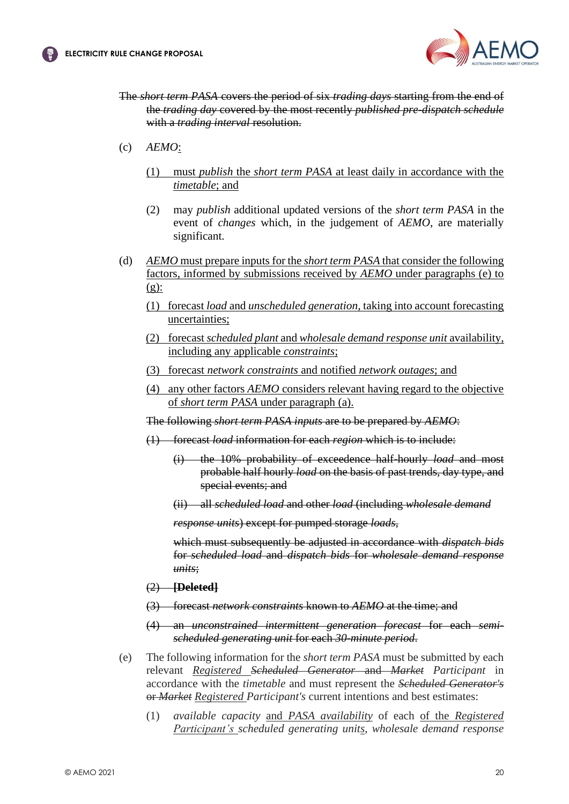

- The *short term PASA* covers the period of six *trading days* starting from the end of the *trading day* covered by the most recently *published pre-dispatch schedule* with a *trading interval* resolution.
- (c) *AEMO*:
	- (1) must *publish* the *short term PASA* at least daily in accordance with the *timetable*; and
	- (2) may *publish* additional updated versions of the *short term PASA* in the event of *changes* which, in the judgement of *AEMO*, are materially significant.
- (d) *AEMO* must prepare inputs for the *short term PASA* that consider the following factors, informed by submissions received by *AEMO* under paragraphs (e) to  $(g)$ :
	- (1) forecast *load* and *unscheduled generation*, taking into account forecasting uncertainties;
	- (2) forecast *scheduled plant* and *wholesale demand response unit* availability, including any applicable *constraints*;
	- (3) forecast *network constraints* and notified *network outages*; and
	- (4) any other factors *AEMO* considers relevant having regard to the objective of *short term PASA* under paragraph (a).
	- The following *short term PASA inputs* are to be prepared by *AEMO*:
	- (1) forecast *load* information for each *region* which is to include:
		- (i) the 10% probability of exceedence half-hourly *load* and most probable half hourly *load* on the basis of past trends, day type, and special events; and
		- (ii) all *scheduled load* and other *load* (including *wholesale demand*

*response units*) except for pumped storage *loads*,

which must subsequently be adjusted in accordance with *dispatch bids* for *scheduled load* and *dispatch bids* for *wholesale demand response units*;

- (2) **[Deleted]**
- (3) forecast *network constraints* known to *AEMO* at the time; and
- (4) an *unconstrained intermittent generation forecast* for each *semischeduled generating unit* for each *30-minute period*.
- (e) The following information for the *short term PASA* must be submitted by each relevant *Registered Scheduled Generator* and *Market Participant* in accordance with the *timetable* and must represent the *Scheduled Generator's* or *Market Registered Participant's* current intentions and best estimates:
	- (1) *available capacity* and *PASA availability* of each of the *Registered Participant's scheduled generating units*, *wholesale demand response*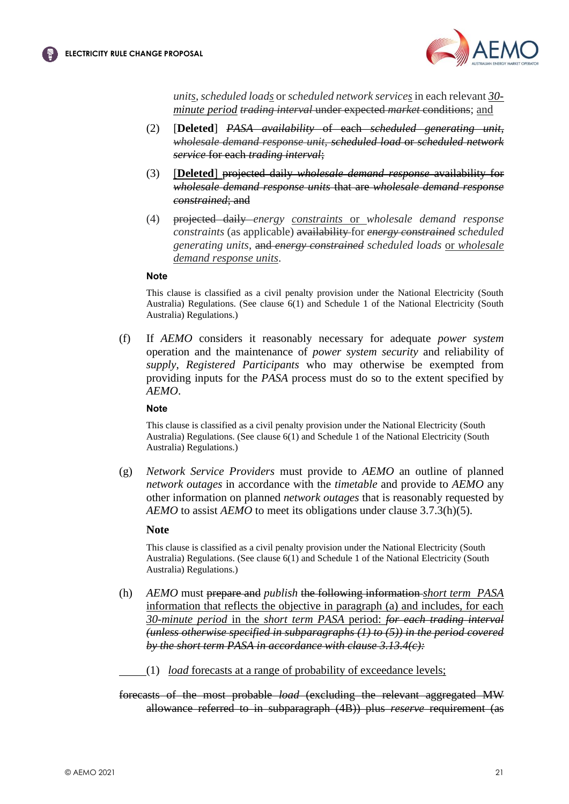

*units*, *scheduled loads* or *scheduled network services* in each relevant *30 minute period trading interval* under expected *market* conditions; and

- (2) [**Deleted**] *PASA availability* of each *scheduled generating unit*, *wholesale demand response unit, scheduled load* or *scheduled network service* for each *trading interval*;
- (3) [**Deleted**] projected daily *wholesale demand response* availability for *wholesale demand response units* that are *wholesale demand response constrained*; and
- (4) projected daily *energy constraints* or *wholesale demand response constraints* (as applicable) availability for *energy constrained scheduled generating units*, and *energy constrained scheduled loads* or *wholesale demand response units*.

#### **Note**

This clause is classified as a civil penalty provision under the National Electricity (South Australia) Regulations. (See clause 6(1) and Schedule 1 of the National Electricity (South Australia) Regulations.)

(f) If *AEMO* considers it reasonably necessary for adequate *power system* operation and the maintenance of *power system security* and reliability of *supply*, *Registered Participants* who may otherwise be exempted from providing inputs for the *PASA* process must do so to the extent specified by *AEMO*.

#### **Note**

This clause is classified as a civil penalty provision under the National Electricity (South Australia) Regulations. (See clause 6(1) and Schedule 1 of the National Electricity (South Australia) Regulations.)

(g) *Network Service Providers* must provide to *AEMO* an outline of planned *network outages* in accordance with the *timetable* and provide to *AEMO* any other information on planned *network outages* that is reasonably requested by *AEMO* to assist *AEMO* to meet its obligations under clause 3.7.3(h)(5).

#### **Note**

This clause is classified as a civil penalty provision under the National Electricity (South Australia) Regulations. (See clause 6(1) and Schedule 1 of the National Electricity (South Australia) Regulations.)

- (h) *AEMO* must prepare and *publish* the following information *short term PASA* information that reflects the objective in paragraph (a) and includes, for each *30-minute period* in the *short term PASA* period: *for each trading interval (unless otherwise specified in subparagraphs (1) to (5)) in the period covered by the short term PASA in accordance with clause 3.13.4(c):*
	- (1) *load* forecasts at a range of probability of exceedance levels;

forecasts of the most probable *load* (excluding the relevant aggregated MW allowance referred to in subparagraph (4B)) plus *reserve* requirement (as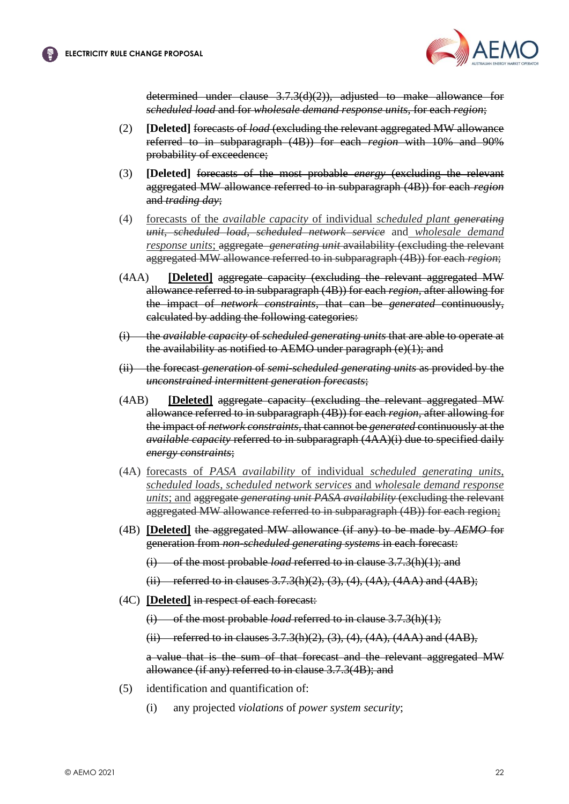

determined under clause 3.7.3(d)(2)), adjusted to make allowance for *scheduled load* and for *wholesale demand response units*, for each *region*;

- (2) **[Deleted]** forecasts of *load* (excluding the relevant aggregated MW allowance referred to in subparagraph (4B)) for each *region* with 10% and 90% probability of exceedence;
- (3) **[Deleted]** forecasts of the most probable *energy* (excluding the relevant aggregated MW allowance referred to in subparagraph (4B)) for each *region* and *trading day*;
- (4) forecasts of the *available capacity* of individual *scheduled plant generating unit*, *scheduled load*, *scheduled network service* and *wholesale demand response units*; aggregate *generating unit* availability (excluding the relevant aggregated MW allowance referred to in subparagraph (4B)) for each *region*;
- (4AA) **[Deleted]** aggregate capacity (excluding the relevant aggregated MW allowance referred to in subparagraph (4B)) for each *region*, after allowing for the impact of *network constraints*, that can be *generated* continuously, calculated by adding the following categories:
- (i) the *available capacity* of *scheduled generating units* that are able to operate at the availability as notified to AEMO under paragraph (e)(1); and
- (ii) the forecast *generation* of *semi-scheduled generating units* as provided by the *unconstrained intermittent generation forecasts*;
- (4AB) **[Deleted]** aggregate capacity (excluding the relevant aggregated MW allowance referred to in subparagraph (4B)) for each *region*, after allowing for the impact of *network constraints*, that cannot be *generated* continuously at the *available capacity* referred to in subparagraph (4AA)(i) due to specified daily *energy constraints*;
- (4A) forecasts of *PASA availability* of individual *scheduled generating units*, *scheduled loads*, *scheduled network services* and *wholesale demand response units*; and aggregate *generating unit PASA availability* (excluding the relevant aggregated MW allowance referred to in subparagraph (4B)) for each region;
- (4B) **[Deleted]** the aggregated MW allowance (if any) to be made by *AEMO* for generation from *non-scheduled generating systems* in each forecast:
	- (i) of the most probable *load* referred to in clause 3.7.3(h)(1); and
	- (ii) referred to in clauses  $3.7.3(h)(2)$ ,  $(3)$ ,  $(4)$ ,  $(4A)$ ,  $(4AA)$  and  $(4AB)$ ;
- (4C) **[Deleted]** in respect of each forecast:
	- (i) of the most probable *load* referred to in clause 3.7.3(h)(1);
	- (ii) referred to in clauses  $3.7.3(h)(2)$ ,  $(3)$ ,  $(4)$ ,  $(4A)$ ,  $(4AA)$  and  $(4AB)$ ,

a value that is the sum of that forecast and the relevant aggregated MW allowance (if any) referred to in clause 3.7.3(4B); and

- (5) identification and quantification of:
	- (i) any projected *violations* of *power system security*;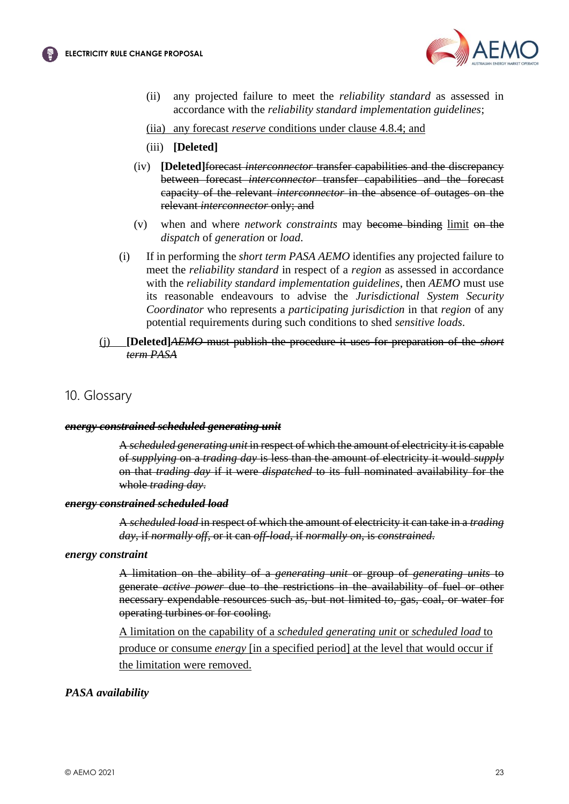

(ii) any projected failure to meet the *reliability standard* as assessed in accordance with the *reliability standard implementation guidelines*;

(iia) any forecast *reserve* conditions under clause 4.8.4; and

- (iii) **[Deleted]**
- (iv) **[Deleted]**forecast *interconnector* transfer capabilities and the discrepancy between forecast *interconnector* transfer capabilities and the forecast capacity of the relevant *interconnector* in the absence of outages on the relevant *interconnector* only; and
- (v) when and where *network constraints* may become binding limit on the *dispatch* of *generation* or *load*.
- (i) If in performing the *short term PASA AEMO* identifies any projected failure to meet the *reliability standard* in respect of a *region* as assessed in accordance with the *reliability standard implementation guidelines*, then *AEMO* must use its reasonable endeavours to advise the *Jurisdictional System Security Coordinator* who represents a *participating jurisdiction* in that *region* of any potential requirements during such conditions to shed *sensitive loads*.
- (j) **[Deleted]***AEMO* must publish the procedure it uses for preparation of the *short term PASA*

#### 10. Glossary

#### *energy constrained scheduled generating unit*

A *scheduled generating unit* in respect of which the amount of electricity it is capable of *supplying* on a *trading day* is less than the amount of electricity it would *supply* on that *trading day* if it were *dispatched* to its full nominated availability for the whole *trading day*.

#### *energy constrained scheduled load*

A *scheduled load* in respect of which the amount of electricity it can take in a *trading day*, if *normally off*, or it can *off-load*, if *normally on*, is *constrained*.

#### *energy constraint*

A limitation on the ability of a *generating unit* or group of *generating units* to generate *active power* due to the restrictions in the availability of fuel or other necessary expendable resources such as, but not limited to, gas, coal, or water for operating turbines or for cooling.

A limitation on the capability of a *scheduled generating unit* or *scheduled load* to produce or consume *energy* [in a specified period] at the level that would occur if the limitation were removed.

#### *PASA availability*